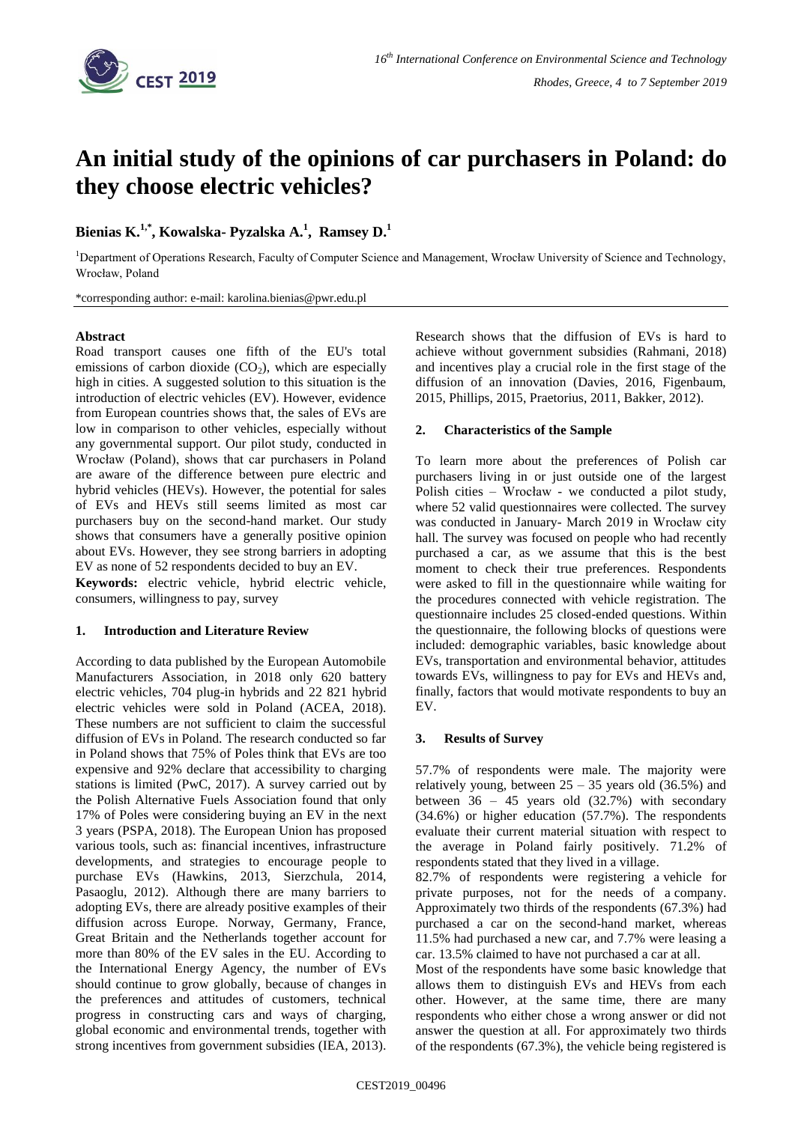

# **An initial study of the opinions of car purchasers in Poland: do they choose electric vehicles?**

## **Bienias K.1,\* , Kowalska- Pyzalska A. 1 , Ramsey D. 1**

<sup>1</sup>Department of Operations Research, Faculty of Computer Science and Management, Wrocław University of Science and Technology, Wrocław, Poland

\*corresponding author: e-mail: karolina.bienias@pwr.edu.pl

## **Abstract**

Road transport causes one fifth of the EU's total emissions of carbon dioxide  $(CO<sub>2</sub>)$ , which are especially high in cities. A suggested solution to this situation is the introduction of electric vehicles (EV). However, evidence from European countries shows that, the sales of EVs are low in comparison to other vehicles, especially without any governmental support. Our pilot study, conducted in Wrocław (Poland), shows that car purchasers in Poland are aware of the difference between pure electric and hybrid vehicles (HEVs). However, the potential for sales of EVs and HEVs still seems limited as most car purchasers buy on the second-hand market. Our study shows that consumers have a generally positive opinion about EVs. However, they see strong barriers in adopting EV as none of 52 respondents decided to buy an EV.

**Keywords:** electric vehicle, hybrid electric vehicle, consumers, willingness to pay, survey

## **1. Introduction and Literature Review**

According to data published by the European Automobile Manufacturers Association, in 2018 only 620 battery electric vehicles, 704 plug-in hybrids and 22 821 hybrid electric vehicles were sold in Poland (ACEA, 2018). These numbers are not sufficient to claim the successful diffusion of EVs in Poland. The research conducted so far in Poland shows that 75% of Poles think that EVs are too expensive and 92% declare that accessibility to charging stations is limited (PwC, 2017). A survey carried out by the Polish Alternative Fuels Association found that only 17% of Poles were considering buying an EV in the next 3 years (PSPA, 2018). The European Union has proposed various tools, such as: financial incentives, infrastructure developments, and strategies to encourage people to purchase EVs (Hawkins, 2013, Sierzchula, 2014, Pasaoglu, 2012). Although there are many barriers to adopting EVs, there are already positive examples of their diffusion across Europe. Norway, Germany, France, Great Britain and the Netherlands together account for more than 80% of the EV sales in the EU. According to the International Energy Agency, the number of EVs should continue to grow globally, because of changes in the preferences and attitudes of customers, technical progress in constructing cars and ways of charging, global economic and environmental trends, together with strong incentives from government subsidies (IEA, 2013).

Research shows that the diffusion of EVs is hard to achieve without government subsidies (Rahmani, 2018) and incentives play a crucial role in the first stage of the diffusion of an innovation (Davies, 2016, Figenbaum, 2015, Phillips, 2015, Praetorius, 2011, Bakker, 2012).

## **2. Characteristics of the Sample**

To learn more about the preferences of Polish car purchasers living in or just outside one of the largest Polish cities – Wrocław - we conducted a pilot study, where 52 valid questionnaires were collected. The survey was conducted in January- March 2019 in Wrocław city hall. The survey was focused on people who had recently purchased a car, as we assume that this is the best moment to check their true preferences. Respondents were asked to fill in the questionnaire while waiting for the procedures connected with vehicle registration. The questionnaire includes 25 closed-ended questions. Within the questionnaire, the following blocks of questions were included: demographic variables, basic knowledge about EVs, transportation and environmental behavior, attitudes towards EVs, willingness to pay for EVs and HEVs and, finally, factors that would motivate respondents to buy an EV.

## **3. Results of Survey**

57.7% of respondents were male. The majority were relatively young, between  $25 - 35$  years old  $(36.5\%)$  and between  $36 - 45$  years old  $(32.7%)$  with secondary (34.6%) or higher education (57.7%). The respondents evaluate their current material situation with respect to the average in Poland fairly positively. 71.2% of respondents stated that they lived in a village.

82.7% of respondents were registering a vehicle for private purposes, not for the needs of a company. Approximately two thirds of the respondents (67.3%) had purchased a car on the second-hand market, whereas 11.5% had purchased a new car, and 7.7% were leasing a car. 13.5% claimed to have not purchased a car at all.

Most of the respondents have some basic knowledge that allows them to distinguish EVs and HEVs from each other. However, at the same time, there are many respondents who either chose a wrong answer or did not answer the question at all. For approximately two thirds of the respondents (67.3%), the vehicle being registered is